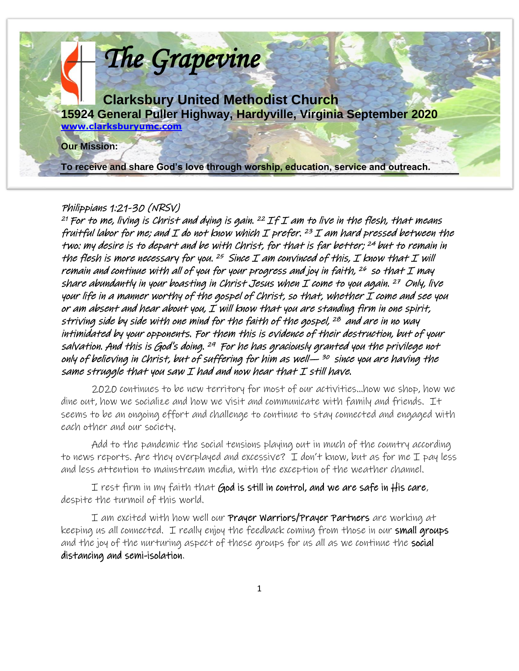

#### Philippians 1:21-30 (NRSV)

<sup>21</sup> For to me, living is Christ and dying is gain. <sup>22</sup> If I am to live in the flesh, that means fruitful labor for me; and I do not know which I prefer.  $^{23}$  I am hard pressed between the two: my desire is to depart and be with Christ, for that is far better; <sup>24</sup> but to remain in the flesh is more necessary for you.  $^{25}$  Since I am convinced of this, I know that I will remain and continue with all of you for your progress and joy in faith,  $^{26}$  so that I may share abundantly in your boasting in Christ Jesus when  ${\mathcal{I}}$  come to you again.  $^{27}$  Only, live your life in a manner worthy of the gospel of Christ, so that, whether I come and see you or am absent and hear about you,  $I$  will know that you are standing firm in one spirit, striving side by side with one mind for the faith of the gospel, 28 and are in no way intimidated by your opponents. For them this is evidence of their destruction, but of your salvation. And this is God's doing. <sup>29</sup> For he has graciously granted you the privilege not only of believing in Christ, but of suffering for him as well— <sup>30</sup> since you are having the same struggle that you saw I had and now hear that I still have.

2020 continues to be new territory for most of our activities…how we shop, how we dine out, how we socialize and how we visit and communicate with family and friends. It seems to be an ongoing effort and challenge to continue to stay connected and engaged with each other and our society.

Add to the pandemic the social tensions playing out in much of the country according to news reports. Are they overplayed and excessive? I don't know, but as for me I pay less and less attention to mainstream media, with the exception of the weather channel.

I rest firm in my faith that God is still in control, and we are safe in His care, despite the turmoil of this world.

I am excited with how well our **Prayer Warriors/Prayer Partners** are working at keeping us all connected. I really enjoy the feedback coming from those in our small groups and the joy of the nurturing aspect of these groups for us all as we continue the social distancing and semi-isolation.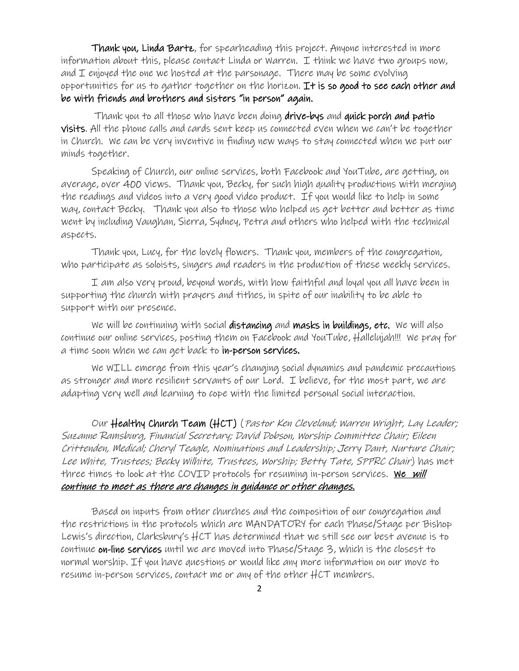Thank you, Linda Bartz, for spearheading this project. Anyone interested in more information about this, please contact Linda or Warren. I think we have two groups now, and  $I$  enjoyed the one we hosted at the parsonage. There may be some evolving opportunities for us to gather together on the horizon. It is so good to see each other and be with friends and brothers and sisters "in person" again.

Thank you to all those who have been doing drive-bys and quick porch and patio visits. All the phone calls and cards sent keep us connected even when we can't be together in Church. We can be very inventive in finding new ways to stay connected when we put our minds together.

Speaking of Church, our online services, both Facebook and YouTube, are getting, on average, over 400 views. Thank you, Becky, for such high quality productions with merging the readings and videos into a very good video product. If you would like to help in some way, contact Becky. Thank you also to those who helped us get better and better as time went by including Vaughan, Sierra, Sydney, Petra and others who helped with the technical aspects.

Thank you, Lucy, for the lovely flowers. Thank you, members of the congregation, who participate as soloists, singers and readers in the production of these weekly services.

I am also very proud, beyond words, with how faithful and loyal you all have been in supporting the church with prayers and tithes, in spite of our inability to be able to support with our presence.

We will be continuing with social distancing and masks in buildings, etc. We will also continue our online services, posting them on Facebook and YouTube, Hallelujah!!! We pray for a time soon when we can get back to in-person services.

We WILL emerge from this year's changing social dynamics and pandemic precautions as stronger and more resilient servants of our Lord. I believe, for the most part, we are adapting very well and learning to cope with the limited personal social interaction.

Our Healthy Church Team (HCT) (Pastor Ken Cleveland; Warren Wright, Lay Leader; Suzanne Ramsburg, Financial Secretary; David Dobson, Worship Committee Chair; Eileen Crittenden, Medical; Cheryl Teagle, Nominations and Leadership; Jerry Dant, Nurture Chair; Lee White, Trustees; Becky Wilhite, Trustees, Worship; Betty Tate, SPPRC Chair) has met three times to look at the COVID protocols for resuming in-person services. We will continue to meet as there are changes in guidance or other changes.

Based on inputs from other churches and the composition of our congregation and the restrictions in the protocols which are MANDATORY for each Phase/Stage per Bishop Lewis's direction, Clarksbury's HCT has determined that we still see our best avenue is to continue on-line services until we are moved into Phase/Stage 3, which is the closest to normal worship. If you have questions or would like any more information on our move to resume in-person services, contact me or any of the other HCT members.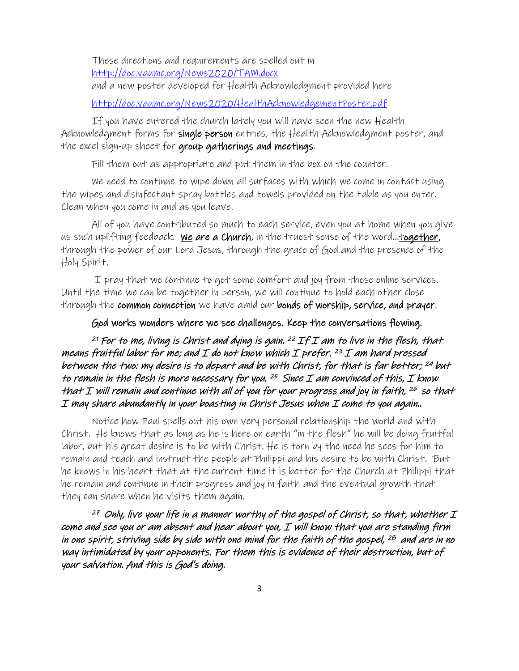These directions and requirements are spelled out in [http://doc.vaumc.org/News2020/TAM.docx](about:blank) and a new poster developed for Health Acknowledgment provided here

[http://doc.vaumc.org/News2020/HealthAcknowledgementPoster.pdf](about:blank)

If you have entered the church lately you will have seen the new Health Acknowledgment forms for single person entries, the Health Acknowledgment poster, and the excel sign-up sheet for group gatherings and meetings.

Fill them out as appropriate and put them in the box on the counter.

We need to continue to wipe down all surfaces with which we come in contact using the wipes and disinfectant spray bottles and towels provided on the table as you enter. Clean when you come in and as you leave.

All of you have contributed so much to each service, even you at home when you give us such uplifting feedback. We are a Church, in the truest sense of the word...<u>together</u>, through the power of our Lord Jesus, through the grace of God and the presence of the Holy Spirit.

I pray that we continue to get some comfort and joy from these online services. Until the time we can be together in person, we will continue to hold each other close through the common connection we have amid our bonds of worship, service, and prayer.

#### God works wonders where we see challenges. Keep the conversations flowing.

<sup>21</sup> For to me, living is Christ and dying is gain. <sup>22</sup> If I am to live in the flesh, that means fruitful labor for me; and I do not know which I prefer. <sup>23</sup>I am hard pressed between the two: my desire is to depart and be with Christ, for that is far better; <sup>24</sup> but to remain in the flesh is more necessary for you.  $25$  Since I am convinced of this, I know that I will remain and continue with all of you for your progress and joy in faith,  $^{26}$  so that I may share abundantly in your boasting in Christ Jesus when I come to you again..

Notice how Paul spells out his own very personal relationship the world and with Christ. He knows that as long as he is here on earth "in the flesh" he will be doing fruitful labor, but his great desire is to be with Christ. He is torn by the need he sees for him to remain and teach and instruct the people at Philippi and his desire to be with Christ. But he knows in his heart that at the current time it is better for the Church at Philippi that he remain and continue in their progress and joy in faith and the eventual growth that they can share when he visits them again.

 $^\mathrm{27}$  Only, live your life in a manner worthy of the gospel of Christ, so that, whether  $\mathcal I$ come and see you or am absent and hear about you, I will know that you are standing firm in one spirit, striving side by side with one mind for the faith of the gospel, <sup>28</sup> and are in no way intimidated by your opponents. For them this is evidence of their destruction, but of your salvation. And this is God's doing.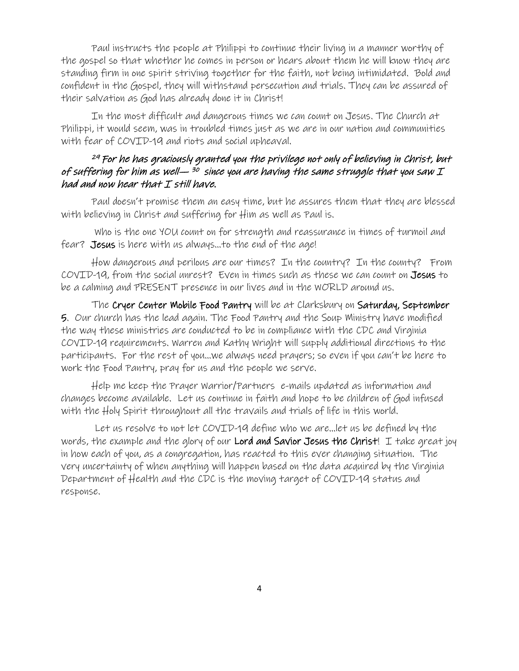Paul instructs the people at Philippi to continue their living in a manner worthy of the gospel so that whether he comes in person or hears about them he will know they are standing firm in one spirit striving together for the faith, not being intimidated. Bold and confident in the Gospel, they will withstand persecution and trials. They can be assured of their salvation as God has already done it in Christ!

In the most difficult and dangerous times we can count on Jesus. The Church at Philippi, it would seem, was in troubled times just as we are in our nation and communities with fear of COVID-19 and riots and social upheaval.

#### <sup>29</sup> For he has graciously granted you the privilege not only of believing in Christ, but of suffering for him as well— <sup>30</sup> since you are having the same struggle that you saw  ${\mathcal{I}}$ had and now hear that I still have.

Paul doesn't promise them an easy time, but he assures them that they are blessed with believing in Christ and suffering for Him as well as Paul is.

Who is the one YOU count on for strength and reassurance in times of turmoil and fear? Jesus is here with us always...to the end of the age!

How dangerous and perilous are our times? In the country? In the county? From COVID-19, from the social unrest? Even in times such as these we can count on Jesus to be a calming and PRESENT presence in our lives and in the WORLD around us.

The Cryer Center Mobile Food Pantry will be at Clarksbury on Saturday, September 5. Our church has the lead again. The Food Pantry and the Soup Ministry have modified the way these ministries are conducted to be in compliance with the CDC and Virginia COVID-19 requirements. Warren and Kathy Wright will supply additional directions to the participants. For the rest of you…we always need prayers; so even if you can't be here to work the Food Pantry, pray for us and the people we serve.

Help me keep the Prayer Warrior/Partners e-mails updated as information and changes become available. Let us continue in faith and hope to be children of God infused with the Holy Spirit throughout all the travails and trials of life in this world.

 Let us resolve to not let COVID-19 define who we are…let us be defined by the words, the example and the glory of our Lord and Savior Jesus the Christ! I take great joy in how each of you, as a congregation, has reacted to this ever changing situation. The very uncertainty of when anything will happen based on the data acquired by the Virginia Department of Health and the CDC is the moving target of COVID-19 status and response.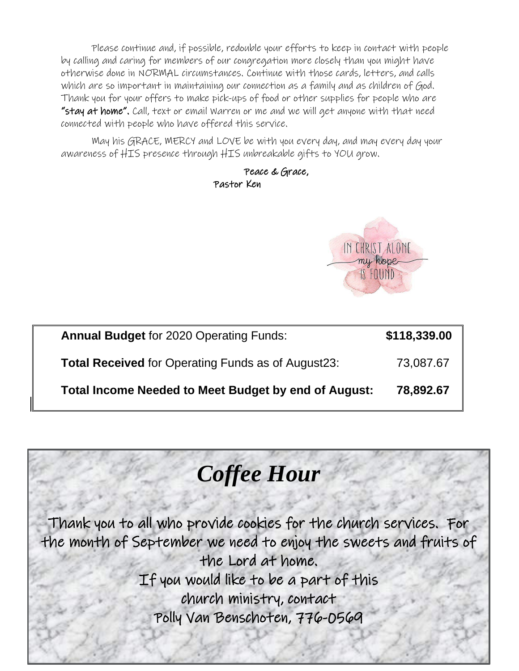Please continue and, if possible, redouble your efforts to keep in contact with people by calling and caring for members of our congregation more closely than you might have otherwise done in NORMAL circumstances. Continue with those cards, letters, and calls which are so important in maintaining our connection as a family and as children of God. Thank you for your offers to make pick-ups of food or other supplies for people who are "stay at home". Call, text or email Warren or me and we will get anyone with that need connected with people who have offered this service.

May his GRACE, MERCY and LOVE be with you every day, and may every day your awareness of HIS presence through HIS unbreakable gifts to YOU grow.

> Peace & Grace, Pastor Ken



| <b>Annual Budget for 2020 Operating Funds:</b>              | \$118,339.00 |
|-------------------------------------------------------------|--------------|
| <b>Total Received for Operating Funds as of August23:</b>   | 73,087.67    |
| <b>Total Income Needed to Meet Budget by end of August:</b> | 78,892.67    |

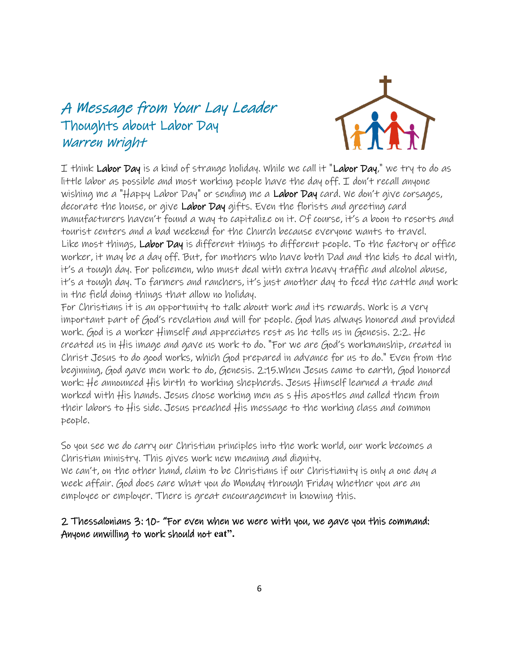# A Message from Your Lay Leader Thoughts about Labor Day Warren Wright



I think Labor Day is a kind of strange holiday. While we call it "Labor Day," we try to do as little labor as possible and most working people have the day off. I don't recall anyone wishing me a "Happy Labor Day" or sending me a Labor Day card. We don't give corsages, decorate the house, or give Labor Day gifts. Even the florists and greeting card manufacturers haven't found a way to capitalize on it. Of course, it's a boon to resorts and tourist centers and a bad weekend for the Church because everyone wants to travel. Like most things, Labor Day is different things to different people. To the factory or office worker, it may be a day off. But, for mothers who have both Dad and the kids to deal with, it's a tough day. For policemen, who must deal with extra heavy traffic and alcohol abuse, it's a tough day. To farmers and ranchers, it's just another day to feed the cattle and work in the field doing things that allow no holiday.

For Christians it is an opportunity to talk about work and its rewards. Work is a very important part of God's revelation and will for people. God has always honored and provided work. God is a worker Himself and appreciates rest as he tells us in Genesis. 2:2. He created us in His image and gave us work to do. "For we are God's workmanship, created in Christ Jesus to do good works, which God prepared in advance for us to do." Even from the beginning, God gave men work to do, Genesis. 2:15.When Jesus came to earth, God honored work: He announced His birth to working shepherds. Jesus Himself learned a trade and worked with His hands. Jesus chose working men as s His apostles and called them from their labors to His side. Jesus preached His message to the working class and common people.

So you see we do carry our Christian principles into the work world, our work becomes a Christian ministry. This gives work new meaning and dignity.

We can't, on the other hand, claim to be Christians if our Christianity is only a one day a week affair. God does care what you do Monday through Friday whether you are an employee or employer. There is great encouragement in knowing this.

### 2 Thessalonians 3: 10- "For even when we were with you, we gave you this command: Anyone unwilling to work should not **eat".**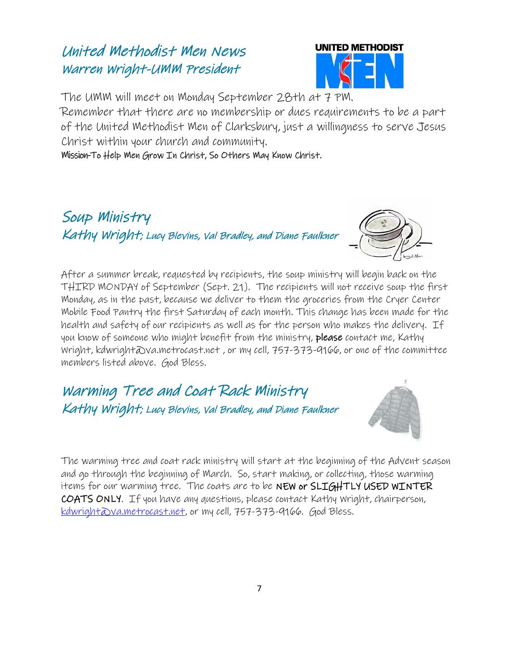# United Methodist Men News Warren Wright-UMM President



The UMM will meet on Monday September 28th at 7 PM.

Remember that there are no membership or dues requirements to be a part of the United Methodist Men of Clarksbury, just a willingness to serve Jesus Christ within your church and community.

Mission-To Help Men Grow In Christ, So Others May Know Christ.





After a summer break, requested by recipients, the soup ministry will begin back on the THIRD MONDAY of September (Sept. 21). The recipients will not receive soup the first Monday, as in the past, because we deliver to them the groceries from the Cryer Center Mobile Food Pantry the first Saturday of each month. This change has been made for the health and safety of our recipients as well as for the person who makes the delivery. If you know of someone who might benefit from the ministry, please contact me, Kathy Wright, kdwright@va.metrocast.net , or my cell, 757-373-9166, or one of the committee members listed above. God Bless.

Warming Tree and Coat Rack Ministry Kathy Wright; Lucy Blevins, Val Bradley, and Diane Faulkner



The warming tree and coat rack ministry will start at the beginning of the Advent season and go through the beginning of March. So, start making, or collecting, those warming items for our warming tree. The coats are to be NEW or SLIGHTLY USED WINTER COATS ONLY. If you have any questions, please contact Kathy Wright, chairperson, <u>kdwright@va.metrocast.net</u>, or my cell, 757-373-9166. God Bless.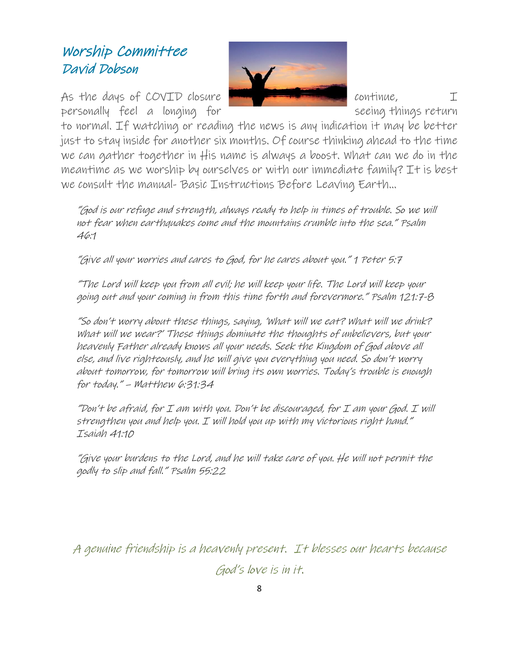# Worship Committee David Dobson

As the days of COVID closure  $\blacksquare$ personally feel a longing for **seeing things return** 



to normal. If watching or reading the news is any indication it may be better just to stay inside for another six months. Of course thinking ahead to the time we can gather together in His name is always a boost. What can we do in the meantime as we worship by ourselves or with our immediate family? It is best we consult the manual- Basic Instructions Before Leaving Earth…

"God is our refuge and strength, always ready to help in times of trouble. So we will not fear when earthquakes come and the mountains crumble into the sea." Psalm 46:1

"Give all your worries and cares to God, for he cares about you." 1 Peter 5:7

"The Lord will keep you from all evil; he will keep your life. The Lord will keep your going out and your coming in from this time forth and forevermore." Psalm 121:7-8

"So don't worry about these things, saying, 'What will we eat? What will we drink? What will we wear?' These things dominate the thoughts of unbelievers, but your heavenly Father already knows all your needs. Seek the Kingdom of God above all else, and live righteously, and he will give you everything you need. So don't worry about tomorrow, for tomorrow will bring its own worries. Today's trouble is enough for today." – Matthew 6:31:34

"Don't be afraid, for I am with you. Don't be discouraged, for I am your God. I will strengthen you and help you. I will hold you up with my victorious right hand." Isaiah 41:10

"Give your burdens to the Lord, and he will take care of you. He will not permit the godly to slip and fall." Psalm 55:22

A genuine friendship is a heavenly present. It blesses our hearts because God's love is in it.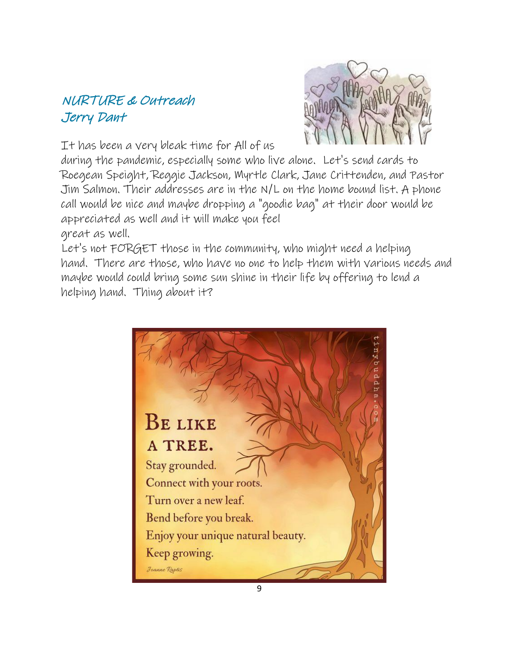## NURTURE & Outreach Jerry Dant

It has been a very bleak time for All of us

during the pandemic, especially some who live alone. Let's send cards to Roegean Speight, Reggie Jackson, Myrtle Clark, Jane Crittenden, and Pastor Jim Salmon. Their addresses are in the N/L on the home bound list. A phone call would be nice and maybe dropping a "goodie bag" at their door would be appreciated as well and it will make you feel great as well.

Let's not FORGET those in the community, who might need a helping hand. There are those, who have no one to help them with various needs and maybe would could bring some sun shine in their life by offering to lend a helping hand. Thing about it?

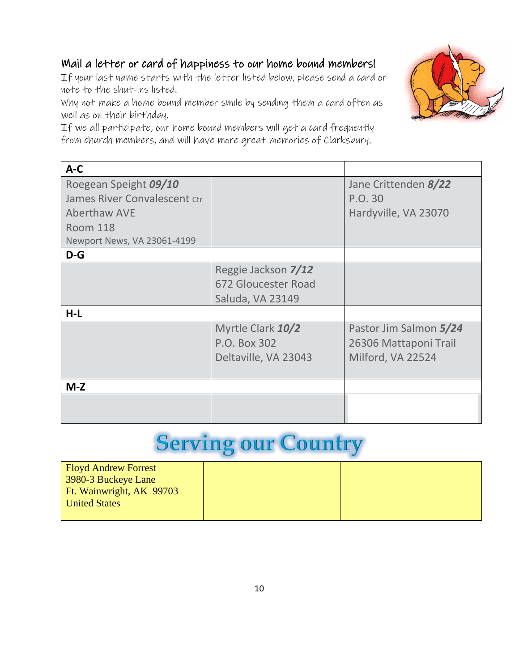## Mail a letter or card of happiness to our home bound members!

If your last name starts with the letter listed below, please send a card or note to the shut-ins listed.

Why not make a home bound member smile by sending them a card often as well as on their birthday.

If we all participate, our home bound members will get a card frequently from church members, and will have more great memories of Clarksbury.



# **Serving our Country**

| <b>Floyd Andrew Forrest</b> |  |
|-----------------------------|--|
| 3980-3 Buckeye Lane         |  |
| Ft. Wainwright, AK 99703    |  |
| <b>United States</b>        |  |
|                             |  |

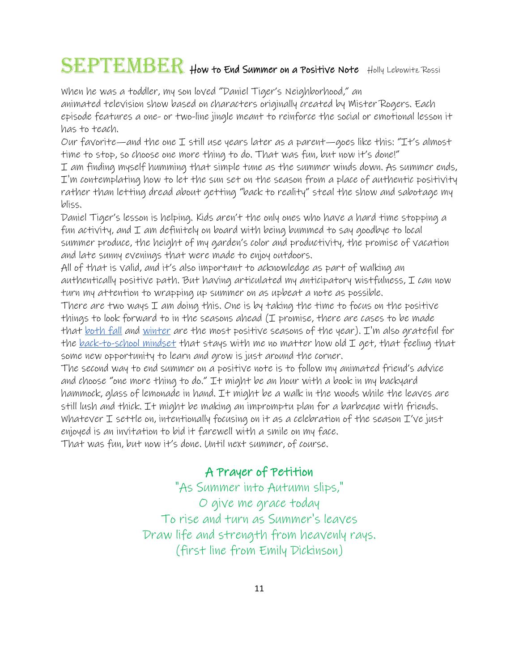# SEPTEMBER How to End Summer on a Positive Note Holly Lebowitz Rossi

When he was a toddler, my son loved "Daniel Tiger's Neighborhood," an

animated television show based on characters originally created by Mister Rogers. Each episode features a one- or two-line jingle meant to reinforce the social or emotional lesson it has to teach.

Our favorite—and the one I still use years later as a parent—goes like this: "It's almost time to stop, so choose one more thing to do. That was fun, but now it's done!"

I am finding myself humming that simple tune as the summer winds down. As summer ends, I'm contemplating how to let the sun set on the season from a place of authentic positivity rather than letting dread about getting "back to reality" steal the show and sabotage my bliss.

Daniel Tiger's lesson is helping. Kids aren't the only ones who have a hard time stopping a fun activity, and I am definitely on board with being bummed to say goodbye to local summer produce, the height of my garden's color and productivity, the promise of vacation and late sunny evenings that were made to enjoy outdoors.

All of that is valid, and it's also important to acknowledge as part of walking an authentically positive path. But having articulated my anticipatory wistfulness,  $\mathcal I$  can now turn my attention to wrapping up summer on as upbeat a note as possible.

There are two ways I am doing this. One is by taking the time to focus on the positive things to look forward to in the seasons ahead  $(T$  promise, there are cases to be made that <u>[both fall](https://www.guideposts.org/node/73062)</u> and <u>[winter](https://www.guideposts.org/node/74545)</u> are the most positive seasons of the year). I'm also grateful for the <u>[back-to-school mindset](https://www.guideposts.org/node/68312)</u> that stays with me no matter how old I get, that feeling that some new opportunity to learn and grow is just around the corner.

The second way to end summer on a positive note is to follow my animated friend's advice and choose "one more thing to do." It might be an hour with a book in my backyard hammock, glass of lemonade in hand. It might be a walk in the woods while the leaves are still lush and thick. It might be making an impromptu plan for a barbeque with friends. Whatever I settle on, intentionally focusing on it as a celebration of the season I've just enjoyed is an invitation to bid it farewell with a smile on my face. That was fun, but now it's done. Until next summer, of course.

## A Prayer of Petition

"As Summer into Autumn slips," O give me grace today To rise and turn as Summer's leaves Draw life and strength from heavenly rays. (first line from Emily Dickinson)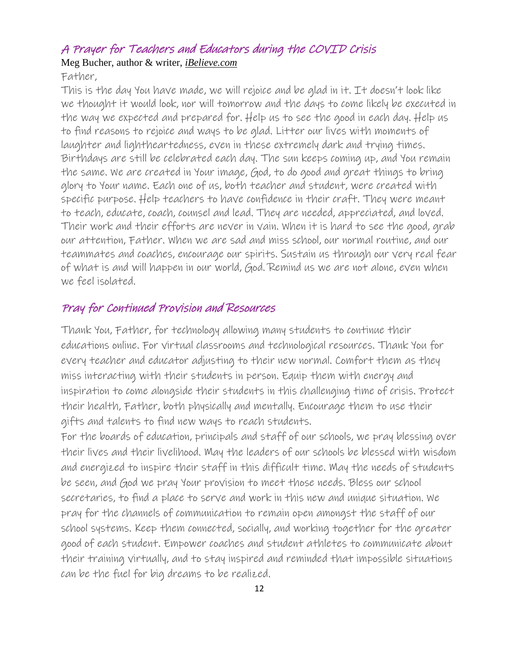## A Prayer for Teachers and Educators during the COVID Crisis

Meg Bucher, author & writer, *iBelieve.com*

Father,

This is the day You have made, we will rejoice and be glad in it. It doesn't look like we thought it would look, nor will tomorrow and the days to come likely be executed in the way we expected and prepared for. Help us to see the good in each day. Help us to find reasons to rejoice and ways to be glad. Litter our lives with moments of laughter and lightheartedness, even in these extremely dark and trying times. Birthdays are still be celebrated each day. The sun keeps coming up, and You remain the same. We are created in Your image, God, to do good and great things to bring glory to Your name. Each one of us, both teacher and student, were created with specific purpose. Help teachers to have confidence in their craft. They were meant to teach, educate, coach, counsel and lead. They are needed, appreciated, and loved. Their work and their efforts are never in vain. When it is hard to see the good, grab our attention, Father. When we are sad and miss school, our normal routine, and our teammates and coaches, encourage our spirits. Sustain us through our very real fear of what is and will happen in our world, God. Remind us we are not alone, even when we feel isolated.

### Pray for Continued Provision and Resources

Thank You, Father, for technology allowing many students to continue their educations online. For virtual classrooms and technological resources. Thank You for every teacher and educator adjusting to their new normal. Comfort them as they miss interacting with their students in person. Equip them with energy and inspiration to come alongside their students in this challenging time of crisis. Protect their health, Father, both physically and mentally. Encourage them to use their gifts and talents to find new ways to reach students.

For the boards of education, principals and staff of our schools, we pray blessing over their lives and their livelihood. May the leaders of our schools be blessed with wisdom and energized to inspire their staff in this difficult time. May the needs of students be seen, and God we pray Your provision to meet those needs. Bless our school secretaries, to find a place to serve and work in this new and unique situation. We pray for the channels of communication to remain open amongst the staff of our school systems. Keep them connected, socially, and working together for the greater good of each student. Empower coaches and student athletes to communicate about their training virtually, and to stay inspired and reminded that impossible situations can be the fuel for big dreams to be realized.